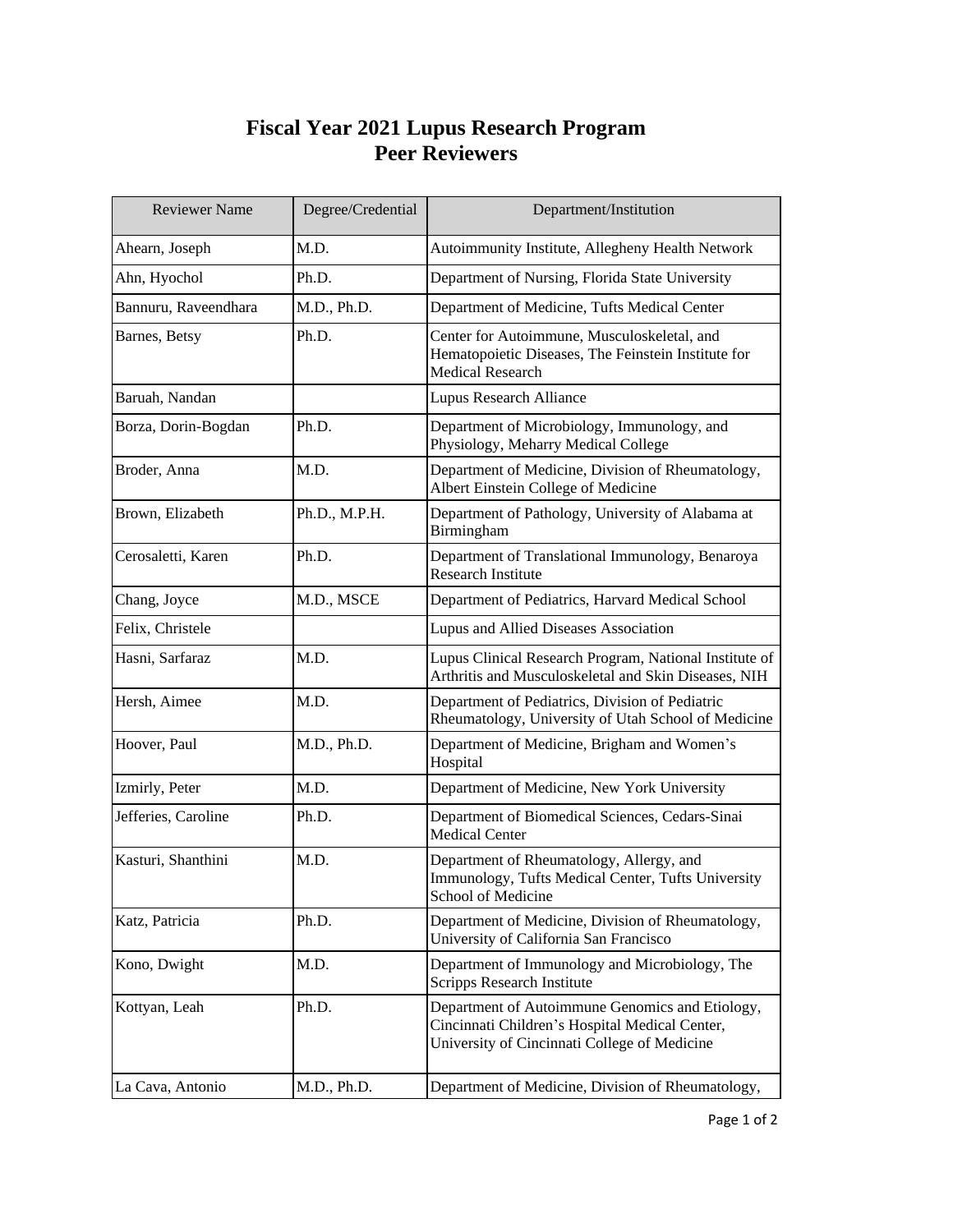## **Fiscal Year 2021 Lupus Research Program Peer Reviewers**

| <b>Reviewer Name</b> | Degree/Credential | Department/Institution                                                                                                                            |
|----------------------|-------------------|---------------------------------------------------------------------------------------------------------------------------------------------------|
| Ahearn, Joseph       | M.D.              | Autoimmunity Institute, Allegheny Health Network                                                                                                  |
| Ahn, Hyochol         | Ph.D.             | Department of Nursing, Florida State University                                                                                                   |
| Bannuru, Raveendhara | M.D., Ph.D.       | Department of Medicine, Tufts Medical Center                                                                                                      |
| Barnes, Betsy        | Ph.D.             | Center for Autoimmune, Musculoskeletal, and<br>Hematopoietic Diseases, The Feinstein Institute for<br><b>Medical Research</b>                     |
| Baruah, Nandan       |                   | <b>Lupus Research Alliance</b>                                                                                                                    |
| Borza, Dorin-Bogdan  | Ph.D.             | Department of Microbiology, Immunology, and<br>Physiology, Meharry Medical College                                                                |
| Broder, Anna         | M.D.              | Department of Medicine, Division of Rheumatology,<br>Albert Einstein College of Medicine                                                          |
| Brown, Elizabeth     | Ph.D., M.P.H.     | Department of Pathology, University of Alabama at<br>Birmingham                                                                                   |
| Cerosaletti, Karen   | Ph.D.             | Department of Translational Immunology, Benaroya<br><b>Research Institute</b>                                                                     |
| Chang, Joyce         | M.D., MSCE        | Department of Pediatrics, Harvard Medical School                                                                                                  |
| Felix, Christele     |                   | Lupus and Allied Diseases Association                                                                                                             |
| Hasni, Sarfaraz      | M.D.              | Lupus Clinical Research Program, National Institute of<br>Arthritis and Musculoskeletal and Skin Diseases, NIH                                    |
| Hersh, Aimee         | M.D.              | Department of Pediatrics, Division of Pediatric<br>Rheumatology, University of Utah School of Medicine                                            |
| Hoover, Paul         | M.D., Ph.D.       | Department of Medicine, Brigham and Women's<br>Hospital                                                                                           |
| Izmirly, Peter       | M.D.              | Department of Medicine, New York University                                                                                                       |
| Jefferies, Caroline  | Ph.D.             | Department of Biomedical Sciences, Cedars-Sinai<br><b>Medical Center</b>                                                                          |
| Kasturi, Shanthini   | M.D.              | Department of Rheumatology, Allergy, and<br>Immunology, Tufts Medical Center, Tufts University<br>School of Medicine                              |
| Katz, Patricia       | Ph.D.             | Department of Medicine, Division of Rheumatology,<br>University of California San Francisco                                                       |
| Kono, Dwight         | M.D.              | Department of Immunology and Microbiology, The<br>Scripps Research Institute                                                                      |
| Kottyan, Leah        | Ph.D.             | Department of Autoimmune Genomics and Etiology,<br>Cincinnati Children's Hospital Medical Center,<br>University of Cincinnati College of Medicine |
| La Cava, Antonio     | M.D., Ph.D.       | Department of Medicine, Division of Rheumatology,                                                                                                 |